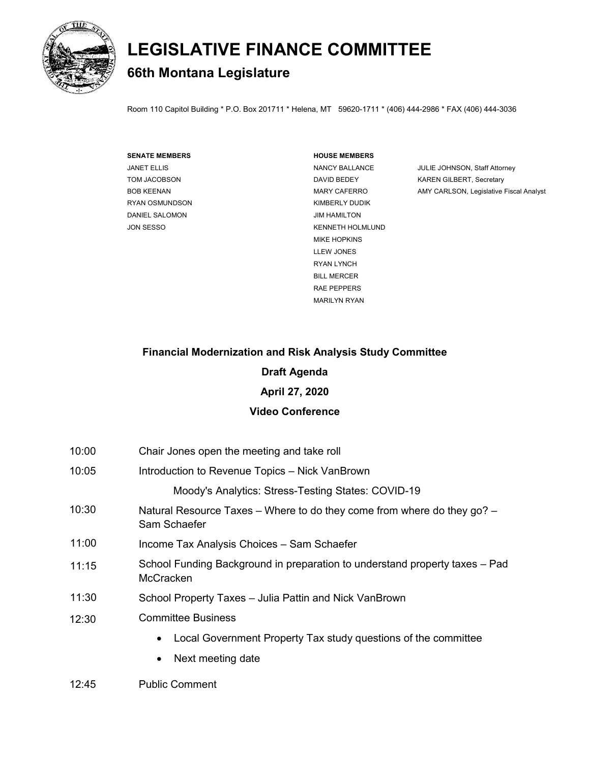

# **LEGISLATIVE FINANCE COMMITTEE**

## **66th Montana Legislature**

Room 110 Capitol Building \* P.O. Box 201711 \* Helena, MT 59620-1711 \* (406) 444-2986 \* FAX (406) 444-3036

| <b>SENATE MEMBERS</b> |
|-----------------------|
| JANET ELLIS           |
| TOM JACOBSON          |
| <b>BOB KEENAN</b>     |
| RYAN OSMUNDSON        |
| DANIFI SAI OMON       |
| JON SESSO             |
|                       |

#### **SENATE MEMBERS HOUSE MEMBERS**

KIMBERLY DUDIK JIM HAMILTON KENNETH HOLMLUND MIKE HOPKINS LLEW JONES RYAN LYNCH BILL MERCER RAE PEPPERS MARILYN RYAN

NANCY BALLANCE JULIE JOHNSON, Staff Attorney DAVID BEDEY KAREN GILBERT, Secretary MARY CAFERRO **AMY CARLSON, Legislative Fiscal Analyst** 

## **Financial Modernization and Risk Analysis Study Committee**

#### **Draft Agenda**

## **April 27, 2020**

## **Video Conference**

- 10:00 Chair Jones open the meeting and take roll
- 10:05 Introduction to Revenue Topics – Nick VanBrown Moody's Analytics: Stress-Testing States: COVID-19
- 10:30 Natural Resource Taxes – Where to do they come from where do they go? – Sam Schaefer
- 11:00 Income Tax Analysis Choices – Sam Schaefer
- 11:15 School Funding Background in preparation to understand property taxes – Pad **McCracken**
- 11:30 School Property Taxes – Julia Pattin and Nick VanBrown
- 12:30 Committee Business
	- Local Government Property Tax study questions of the committee
	- Next meeting date
- 12:45 Public Comment